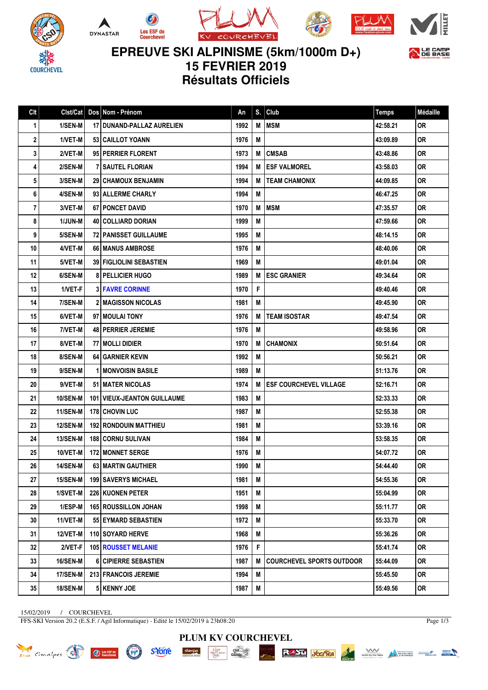









**EPREUVE SKI ALPINISME (5km/1000m D+) 15 FEVRIER 2019**

**Résultats Officiels**

| Clt | Clst/Cat        | Dos Nom - Prénom                   | An   | S. | Club                             | <b>Temps</b> | Médaille  |
|-----|-----------------|------------------------------------|------|----|----------------------------------|--------------|-----------|
| 1   | 1/SEN-M         | 17 DUNAND-PALLAZ AURELIEN          | 1992 | M  | <b>MSM</b>                       | 42:58.21     | <b>OR</b> |
| 2   | 1/VET-M         | <b>53   CAILLOT YOANN</b>          | 1976 | M  |                                  | 43:09.89     | <b>OR</b> |
| 3   | 2/VET-M         | 95 PERRIER FLORENT                 | 1973 | M  | <b>CMSAB</b>                     | 43:48.86     | <b>OR</b> |
| 4   | 2/SEN-M         | <b>7   SAUTEL FLORIAN</b>          | 1994 | M  | <b>ESF VALMOREL</b>              | 43:58.03     | <b>OR</b> |
| 5   | 3/SEN-M         | <b>29 CHAMOUX BENJAMIN</b>         | 1994 | M  | <b>TEAM CHAMONIX</b>             | 44:09.85     | <b>OR</b> |
| 6   | 4/SEN-M         | 93 ALLERME CHARLY                  | 1994 | M  |                                  | 46:47.25     | <b>OR</b> |
| 7   | 3/VET-M         | <b>67   PONCET DAVID</b>           | 1970 | M  | <b>MSM</b>                       | 47:35.57     | <b>OR</b> |
| 8   | 1/JUN-M         | 40 COLLIARD DORIAN                 | 1999 | M  |                                  | 47:59.66     | <b>OR</b> |
| 9   | 5/SEN-M         | 72 PANISSET GUILLAUME              | 1995 | M  |                                  | 48:14.15     | <b>OR</b> |
| 10  | 4/VET-M         | 66 MANUS AMBROSE                   | 1976 | M  |                                  | 48:40.06     | <b>OR</b> |
| 11  | 5/VET-M         | <b>39 FIGLIOLINI SEBASTIEN</b>     | 1969 | M  |                                  | 49:01.04     | <b>OR</b> |
| 12  | 6/SEN-M         | <b>8 PELLICIER HUGO</b>            | 1989 | M  | <b>ESC GRANIER</b>               | 49:34.64     | <b>OR</b> |
| 13  | 1/VET-F         | <b>3 FAVRE CORINNE</b>             | 1970 | F  |                                  | 49:40.46     | <b>OR</b> |
| 14  | 7/SEN-M         | <b>2 MAGISSON NICOLAS</b>          | 1981 | M  |                                  | 49:45.90     | <b>OR</b> |
| 15  | 6/VET-M         | 97 MOULAI TONY                     | 1976 | M  | <b>TEAM ISOSTAR</b>              | 49:47.54     | <b>OR</b> |
| 16  | 7/VET-M         | <b>48   PERRIER JEREMIE</b>        | 1976 | M  |                                  | 49:58.96     | <b>OR</b> |
| 17  | 8/VET-M         | 77 MOLLI DIDIER                    | 1970 | M  | <b>CHAMONIX</b>                  | 50:51.64     | <b>OR</b> |
| 18  | 8/SEN-M         | <b>64 GARNIER KEVIN</b>            | 1992 | M  |                                  | 50:56.21     | <b>OR</b> |
| 19  | 9/SEN-M         | <b>1 I MONVOISIN BASILE</b>        | 1989 | M  |                                  | 51:13.76     | <b>OR</b> |
| 20  | 9/VET-M         | <b>51 I MATER NICOLAS</b>          | 1974 | M  | <b>ESF COURCHEVEL VILLAGE</b>    | 52:16.71     | <b>OR</b> |
| 21  | 10/SEN-M        | <b>101 VIEUX-JEANTON GUILLAUME</b> | 1983 | M  |                                  | 52:33.33     | <b>OR</b> |
| 22  | 11/SEN-M        | 178 CHOVIN LUC                     | 1987 | M  |                                  | 52:55.38     | <b>OR</b> |
| 23  | 12/SEN-M        | <b>192 RONDOUIN MATTHIEU</b>       | 1981 | M  |                                  | 53:39.16     | <b>OR</b> |
| 24  | <b>13/SEN-M</b> | <b>188 CORNU SULIVAN</b>           | 1984 | M  |                                  | 53:58.35     | <b>OR</b> |
| 25  | 10/VET-M        | 172 MONNET SERGE                   | 1976 | M  |                                  | 54:07.72     | <b>OR</b> |
| 26  | <b>14/SEN-M</b> | <b>63 MARTIN GAUTHIER</b>          | 1990 | M  |                                  | 54:44.40     | <b>OR</b> |
| 27  | 15/SEN-M        | <b>199   SAVERYS MICHAEL</b>       | 1981 | М  |                                  | 54:55.36     | <b>OR</b> |
| 28  | 1/SVET-M        | 226 KUONEN PETER                   | 1951 | M  |                                  | 55:04.99     | 0R        |
| 29  | $1/ESP-M$       | <b>165 ROUSSILLON JOHAN</b>        | 1998 | M  |                                  | 55:11.77     | 0R.       |
| 30  | 11/VET-M        | 55 EYMARD SEBASTIEN                | 1972 | M  |                                  | 55:33.70     | <b>OR</b> |
| 31  | 12/VET-M        | 110 SOYARD HERVE                   | 1968 | M  |                                  | 55:36.26     | 0R.       |
| 32  | 2/VET-F         | <b>105 ROUSSET MELANIE</b>         | 1976 | F  |                                  | 55:41.74     | <b>OR</b> |
| 33  | 16/SEN-M        | <b>6 CIPIERRE SEBASTIEN</b>        | 1987 | M  | <b>COURCHEVEL SPORTS OUTDOOR</b> | 55:44.09     | 0R        |
| 34  | 17/SEN-M        | 213 FRANCOIS JEREMIE               | 1994 | M  |                                  | 55:45.50     | 0R.       |
| 35  | <b>18/SEN-M</b> | 5 KENNY JOE                        | 1987 | M  |                                  | 55:49.56     | OR        |

**PLUM KV COURCHEVEL**

**LABU**<br>MENGRAND-<br>PERU

 $\frac{\text{chez}}{\text{Cauchy}}$ 

R<sup>AST</sup> *ScafeA* 

15/02/2019 / COURCHEVEL

X RIDER Cimalpes (

FFS-SKI Version 20.2 (E.S.F. / Agil Informatique) - Edité le 15/02/2019 à 23h08:20

(F)

**s'Yorre** 

sherpa

Page 1/3

**Maria de Tres Vallées**<br>Sceiété des Tres Vallées de Constat de l'Autorité des Schaches de Constantinople de Constantinople de Constantinople de Constantinople de Constantinople de Constantinople de Constantinople de Consta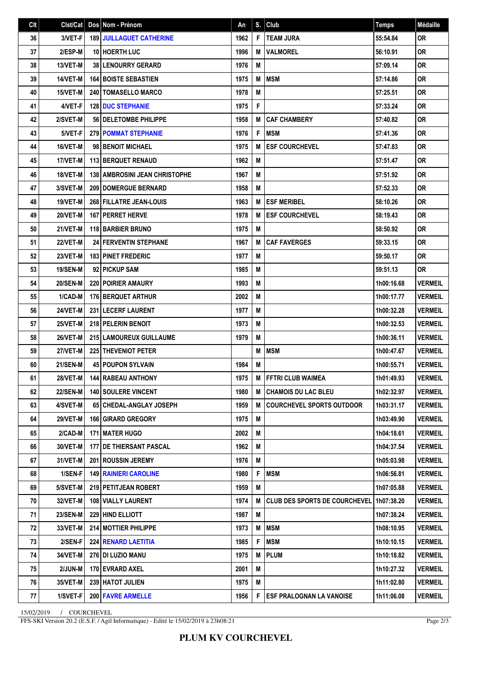| Clt | Clst/Cat        | Dos Nom - Prénom                       | An   | S. | Club                                     | <b>Temps</b> | Médaille       |
|-----|-----------------|----------------------------------------|------|----|------------------------------------------|--------------|----------------|
| 36  | 3/VET-F         | <b>189 JUILLAGUET CATHERINE</b>        | 1962 | F  | <b>TEAM JURA</b>                         | 55:54.84     | <b>OR</b>      |
| 37  | 2/ESP-M         | <b>10 HOERTH LUC</b>                   | 1996 | M  | <b>VALMOREL</b>                          | 56:10.91     | <b>OR</b>      |
| 38  | 13/VET-M        | <b>38 LENOURRY GERARD</b>              | 1976 | M  |                                          | 57:09.14     | 0R             |
| 39  | 14/VET-M        | <b>164 BOISTE SEBASTIEN</b>            | 1975 | M  | <b>MSM</b>                               | 57:14.86     | <b>OR</b>      |
| 40  | 15/VET-M        | <b>240   TOMASELLO MARCO</b>           | 1978 | M  |                                          | 57:25.51     | <b>OR</b>      |
| 41  | 4/VET-F         | <b>128 DUC STEPHANIE</b>               | 1975 | F  |                                          | 57:33.24     | <b>OR</b>      |
| 42  | 2/SVET-M        | <b>56   DELETOMBE PHILIPPE</b>         | 1958 | M  | <b>CAF CHAMBERY</b>                      | 57:40.82     | <b>OR</b>      |
| 43  | 5/VET-F         | <b>279 POMMAT STEPHANIE</b>            | 1976 | F  | <b>MSM</b>                               | 57:41.36     | <b>OR</b>      |
| 44  | 16/VET-M        | 98 BENOIT MICHAEL                      | 1975 | M  | <b>ESF COURCHEVEL</b>                    | 57:47.83     | <b>OR</b>      |
| 45  | 17/VET-M        | 113 BERQUET RENAUD                     | 1962 | M  |                                          | 57:51.47     | <b>OR</b>      |
| 46  | 18/VET-M        | <b>138   AMBROSINI JEAN CHRISTOPHE</b> | 1967 | M  |                                          | 57:51.92     | <b>OR</b>      |
| 47  | 3/SVET-M        | <b>209 DOMERGUE BERNARD</b>            | 1958 | M  |                                          | 57:52.33     | <b>OR</b>      |
| 48  | <b>19/VET-M</b> | 268 FILLATRE JEAN-LOUIS                | 1963 | M  | <b>ESF MERIBEL</b>                       | 58:10.26     | <b>OR</b>      |
| 49  | 20/VET-M        | <b>167   PERRET HERVE</b>              | 1978 | M  | <b>ESF COURCHEVEL</b>                    | 58:19.43     | <b>OR</b>      |
| 50  | 21/VET-M        | <b>118 BARBIER BRUNO</b>               | 1975 | M  |                                          | 58:50.92     | <b>OR</b>      |
| 51  | <b>22/VET-M</b> | <b>24 FERVENTIN STEPHANE</b>           | 1967 | M  | <b>CAF FAVERGES</b>                      | 59:33.15     | 0R             |
| 52  | 23/VET-M        | <b>183 PINET FREDERIC</b>              | 1977 | M  |                                          | 59:50.17     | <b>OR</b>      |
| 53  | 19/SEN-M        | 92 PICKUP SAM                          | 1985 | M  |                                          | 59:51.13     | <b>OR</b>      |
| 54  | <b>20/SEN-M</b> | <b>220 POIRIER AMAURY</b>              | 1993 | M  |                                          | 1h00:16.68   | <b>VERMEIL</b> |
| 55  | 1/CAD-M         | <b>176 BERQUET ARTHUR</b>              | 2002 | M  |                                          | 1h00:17.77   | <b>VERMEIL</b> |
| 56  | 24/VET-M        | <b>231 LECERF LAURENT</b>              | 1977 | M  |                                          | 1h00:32.28   | <b>VERMEIL</b> |
| 57  | 25/VET-M        | 218 PELERIN BENOIT                     | 1973 | M  |                                          | 1h00:32.53   | <b>VERMEIL</b> |
| 58  | 26/VET-M        | 215 LAMOUREUX GUILLAUME                | 1979 | M  |                                          | 1h00:36.11   | <b>VERMEIL</b> |
| 59  | 27/VET-M        | 225 THEVENIOT PETER                    |      | M  | <b>MSM</b>                               | 1h00:47.67   | <b>VERMEIL</b> |
| 60  | <b>21/SEN-M</b> | 45 POUPON SYLVAIN                      | 1984 | M  |                                          | 1h00:55.71   | <b>VERMEIL</b> |
| 61  | 28/VET-M        | <b>144 RABEAU ANTHONY</b>              | 1975 | M  | FFTRI CLUB WAIMEA                        | 1h01:49.93   | <b>VERMEIL</b> |
| 62  | 22/SEN-M        | 140 SOULERE VINCENT                    | 1980 | M  | <b>CHAMOIS DU LAC BLEU</b>               | 1h02:32.97   | <b>VERMEIL</b> |
| 63  | 4/SVET-M        | 65 CHEDAL-ANGLAY JOSEPH                | 1959 | M  | <b>COURCHEVEL SPORTS OUTDOOR</b>         | 1h03:31.17   | <b>VERMEIL</b> |
| 64  | <b>29/VET-M</b> | <b>166 GIRARD GREGORY</b>              | 1975 | M  |                                          | 1h03:49.90   | <b>VERMEIL</b> |
| 65  | 2/CAD-M         | 171   MATER HUGO                       | 2002 | M  |                                          | 1h04:18.61   | VERMEIL        |
| 66  | 30/VET-M        | 177 DE THIERSANT PASCAL                | 1962 | M  |                                          | 1h04:37.54   | <b>VERMEIL</b> |
| 67  | 31/VET-M        | <b>201 ROUSSIN JEREMY</b>              | 1976 | M  |                                          | 1h05:03.98   | <b>VERMEIL</b> |
| 68  | 1/SEN-F         | <b>149 RAINIERI CAROLINE</b>           | 1980 | F  | <b>MSM</b>                               | 1h06:56.81   | VERMEIL        |
| 69  | 5/SVET-M        | 219 PETITJEAN ROBERT                   | 1959 | M  |                                          | 1h07:05.88   | <b>VERMEIL</b> |
| 70  | 32/VET-M        | 108 VIALLY LAURENT                     | 1974 | M  | CLUB DES SPORTS DE COURCHEVEL 1h07:38.20 |              | <b>VERMEIL</b> |
| 71  | 23/SEN-M        | 229 HIND ELLIOTT                       | 1987 | M  |                                          | 1h07:38.24   | <b>VERMEIL</b> |
| 72  | 33/VET-M        | <b>214 MOTTIER PHILIPPE</b>            | 1973 | M  | <b>MSM</b>                               | 1h08:10.95   | <b>VERMEIL</b> |
| 73  | 2/SEN-F         | <b>224 RENARD LAETITIA</b>             | 1985 | F  | <b>MSM</b>                               | 1h10:10.15   | <b>VERMEIL</b> |
| 74  | 34/VET-M        | 276   DI LUZIO MANU                    | 1975 | M  | <b>PLUM</b>                              | 1h10:18.82   | <b>VERMEIL</b> |
| 75  | 2/JUN-M         | 170 EVRARD AXEL                        | 2001 | M  |                                          | 1h10:27.32   | <b>VERMEIL</b> |
| 76  | 35/VET-M        | <b>239   HATOT JULIEN</b>              | 1975 | M  |                                          | 1h11:02.80   | <b>VERMEIL</b> |
| 77  | 1/SVET-F        | 200 FAVRE ARMELLE                      | 1956 | F  | <b>ESF PRALOGNAN LA VANOISE</b>          | 1h11:06.08   | <b>VERMEIL</b> |

15/02/2019 / COURCHEVEL

FFS-SKI Version 20.2 (E.S.F. / Agil Informatique) - Edité le 15/02/2019 à 23h08:21